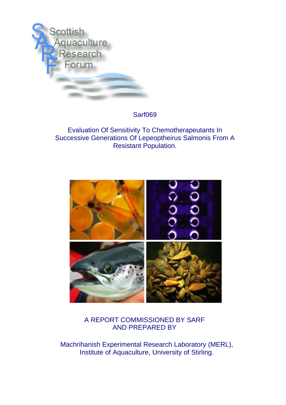

# Sarf069

# Evaluation Of Sensitivity To Chemotherapeutants In Successive Generations Of Lepeoptheirus Salmonis From A Resistant Population.



# A REPORT COMMISSIONED BY SARF AND PREPARED BY

Machrihanish Experimental Research Laboratory (MERL), Institute of Aquaculture, University of Stirling.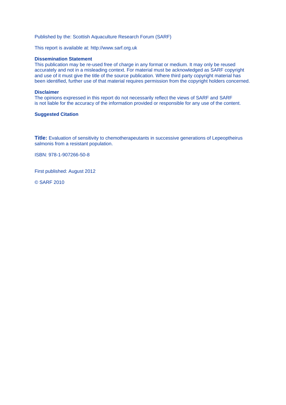Published by the: Scottish Aquaculture Research Forum (SARF)

This report is available at: http://www.sarf.org.uk

#### **Dissemination Statement**

This publication may be re-used free of charge in any format or medium. It may only be reused accurately and not in a misleading context. For material must be acknowledged as SARF copyright and use of it must give the title of the source publication. Where third party copyright material has been identified, further use of that material requires permission from the copyright holders concerned.

### **Disclaimer**

The opinions expressed in this report do not necessarily reflect the views of SARF and SARF is not liable for the accuracy of the information provided or responsible for any use of the content.

#### **Suggested Citation**

**Title:** Evaluation of sensitivity to chemotherapeutants in successive generations of Lepeoptheirus salmonis from a resistant population.

ISBN: 978-1-907266-50-8

First published: August 2012

© SARF 2010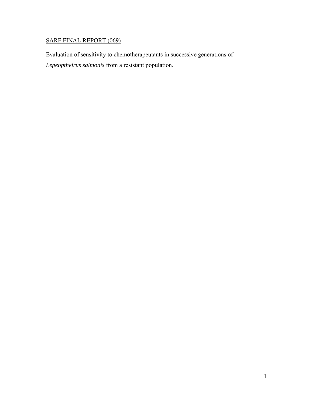# SARF FINAL REPORT (069)

Evaluation of sensitivity to chemotherapeutants in successive generations of *Lepeoptheirus salmonis* from a resistant population.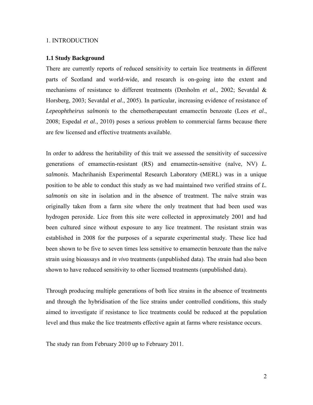### 1. INTRODUCTION

#### **1.1 Study Background**

There are currently reports of reduced sensitivity to certain lice treatments in different parts of Scotland and world-wide, and research is on-going into the extent and mechanisms of resistance to different treatments (Denholm *et al*., 2002; Sevatdal & Horsberg, 2003; Sevatdal *et al*., 2005). In particular, increasing evidence of resistance of *Lepeophtheirus salmonis* to the chemotherapeutant emamectin benzoate (Lees *et al*., 2008; Espedal *et al*., 2010) poses a serious problem to commercial farms because there are few licensed and effective treatments available.

In order to address the heritability of this trait we assessed the sensitivity of successive generations of emamectin-resistant (RS) and emamectin-sensitive (naïve, NV) *L. salmonis*. Machrihanish Experimental Research Laboratory (MERL) was in a unique position to be able to conduct this study as we had maintained two verified strains of *L. salmonis* on site in isolation and in the absence of treatment. The naïve strain was originally taken from a farm site where the only treatment that had been used was hydrogen peroxide. Lice from this site were collected in approximately 2001 and had been cultured since without exposure to any lice treatment. The resistant strain was established in 2008 for the purposes of a separate experimental study. These lice had been shown to be five to seven times less sensitive to emamectin benzoate than the naïve strain using bioassays and *in vivo* treatments (unpublished data). The strain had also been shown to have reduced sensitivity to other licensed treatments (unpublished data).

Through producing multiple generations of both lice strains in the absence of treatments and through the hybridisation of the lice strains under controlled conditions, this study aimed to investigate if resistance to lice treatments could be reduced at the population level and thus make the lice treatments effective again at farms where resistance occurs.

The study ran from February 2010 up to February 2011.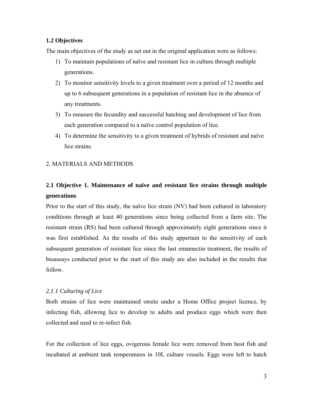# **1.2 Objectives**

The main objectives of the study as set out in the original application were as follows:

- 1) To maintain populations of naïve and resistant lice in culture through multiple generations.
- 2) To monitor sensitivity levels to a given treatment over a period of 12 months and up to 6 subsequent generations in a population of resistant lice in the absence of any treatments.
- 3) To measure the fecundity and successful hatching and development of lice from each generation compared to a naïve control population of lice.
- 4) To determine the sensitivity to a given treatment of hybrids of resistant and naïve lice strains.

## 2. MATERIALS AND METHODS

# **2.1 Objective 1. Maintenance of naïve and resistant lice strains through multiple generations**

Prior to the start of this study, the naïve lice strain (NV) had been cultured in laboratory conditions through at least 40 generations since being collected from a farm site. The resistant strain (RS) had been cultured through approximately eight generations since it was first established. As the results of this study appertain to the sensitivity of each subsequent generation of resistant lice since the last emamectin treatment, the results of bioassays conducted prior to the start of this study are also included in the results that follow.

## *2.1.1 Culturing of Lice*

Both strains of lice were maintained onsite under a Home Office project licence, by infecting fish, allowing lice to develop to adults and produce eggs which were then collected and used to re-infect fish.

For the collection of lice eggs, ovigerous female lice were removed from host fish and incubated at ambient tank temperatures in 10L culture vessels. Eggs were left to hatch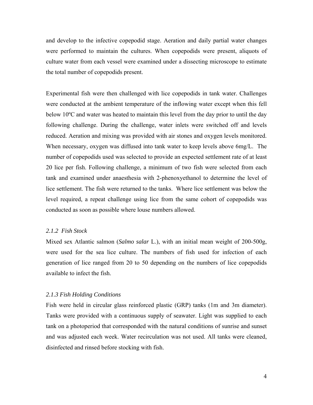and develop to the infective copepodid stage. Aeration and daily partial water changes were performed to maintain the cultures. When copepodids were present, aliquots of culture water from each vessel were examined under a dissecting microscope to estimate the total number of copepodids present.

Experimental fish were then challenged with lice copepodids in tank water. Challenges were conducted at the ambient temperature of the inflowing water except when this fell below 10ºC and water was heated to maintain this level from the day prior to until the day following challenge. During the challenge, water inlets were switched off and levels reduced. Aeration and mixing was provided with air stones and oxygen levels monitored. When necessary, oxygen was diffused into tank water to keep levels above 6mg/L. The number of copepodids used was selected to provide an expected settlement rate of at least 20 lice per fish. Following challenge, a minimum of two fish were selected from each tank and examined under anaesthesia with 2-phenoxyethanol to determine the level of lice settlement. The fish were returned to the tanks. Where lice settlement was below the level required, a repeat challenge using lice from the same cohort of copepodids was conducted as soon as possible where louse numbers allowed.

### *2.1.2 Fish Stock*

Mixed sex Atlantic salmon (*Salmo salar* L.), with an initial mean weight of 200-500g, were used for the sea lice culture. The numbers of fish used for infection of each generation of lice ranged from 20 to 50 depending on the numbers of lice copepodids available to infect the fish.

### *2.1.3 Fish Holding Conditions*

Fish were held in circular glass reinforced plastic (GRP) tanks (1m and 3m diameter). Tanks were provided with a continuous supply of seawater. Light was supplied to each tank on a photoperiod that corresponded with the natural conditions of sunrise and sunset and was adjusted each week. Water recirculation was not used. All tanks were cleaned, disinfected and rinsed before stocking with fish.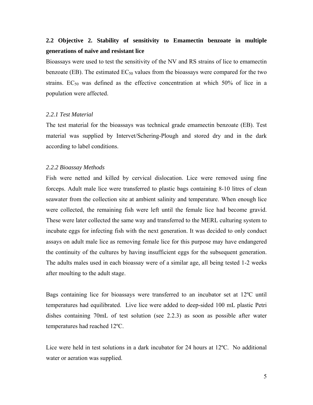# **2.2 Objective 2. Stability of sensitivity to Emamectin benzoate in multiple generations of naïve and resistant lice**

Bioassays were used to test the sensitivity of the NV and RS strains of lice to emamectin benzoate (EB). The estimated  $EC_{50}$  values from the bioassays were compared for the two strains.  $EC_{50}$  was defined as the effective concentration at which 50% of lice in a population were affected.

#### *2.2.1 Test Material*

The test material for the bioassays was technical grade emamectin benzoate (EB). Test material was supplied by Intervet/Schering-Plough and stored dry and in the dark according to label conditions.

#### *2.2.2 Bioassay Methods*

Fish were netted and killed by cervical dislocation. Lice were removed using fine forceps. Adult male lice were transferred to plastic bags containing 8-10 litres of clean seawater from the collection site at ambient salinity and temperature. When enough lice were collected, the remaining fish were left until the female lice had become gravid. These were later collected the same way and transferred to the MERL culturing system to incubate eggs for infecting fish with the next generation. It was decided to only conduct assays on adult male lice as removing female lice for this purpose may have endangered the continuity of the cultures by having insufficient eggs for the subsequent generation. The adults males used in each bioassay were of a similar age, all being tested 1-2 weeks after moulting to the adult stage.

Bags containing lice for bioassays were transferred to an incubator set at 12ºC until temperatures had equilibrated. Live lice were added to deep-sided 100 mL plastic Petri dishes containing 70mL of test solution (see 2.2.3) as soon as possible after water temperatures had reached 12ºC.

Lice were held in test solutions in a dark incubator for 24 hours at 12ºC. No additional water or aeration was supplied.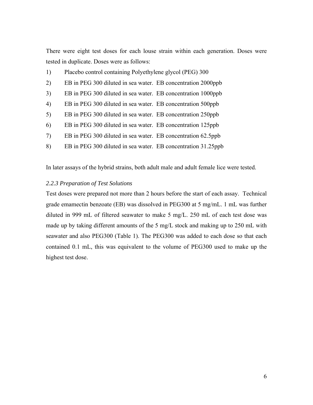There were eight test doses for each louse strain within each generation. Doses were tested in duplicate. Doses were as follows:

- 1) Placebo control containing Polyethylene glycol (PEG) 300
- 2) EB in PEG 300 diluted in sea water. EB concentration 2000ppb
- 3) EB in PEG 300 diluted in sea water. EB concentration 1000ppb
- 4) EB in PEG 300 diluted in sea water. EB concentration 500ppb
- 5) EB in PEG 300 diluted in sea water. EB concentration 250ppb
- 6) EB in PEG 300 diluted in sea water. EB concentration 125ppb
- 7) EB in PEG 300 diluted in sea water. EB concentration 62.5ppb
- 8) EB in PEG 300 diluted in sea water. EB concentration 31.25ppb

In later assays of the hybrid strains, both adult male and adult female lice were tested.

## *2.2.3 Preparation of Test Solutions*

Test doses were prepared not more than 2 hours before the start of each assay. Technical grade emamectin benzoate (EB) was dissolved in PEG300 at 5 mg/mL. 1 mL was further diluted in 999 mL of filtered seawater to make 5 mg/L. 250 mL of each test dose was made up by taking different amounts of the 5 mg/L stock and making up to 250 mL with seawater and also PEG300 (Table 1). The PEG300 was added to each dose so that each contained 0.1 mL, this was equivalent to the volume of PEG300 used to make up the highest test dose.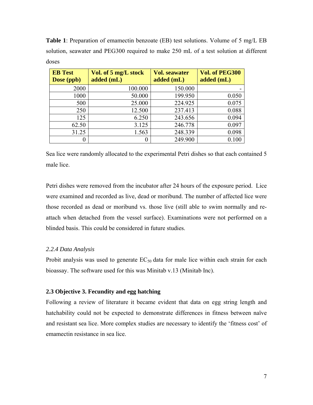**Table 1**: Preparation of emamectin benzoate (EB) test solutions. Volume of 5 mg/L EB solution, seawater and PEG300 required to make 250 mL of a test solution at different doses

| <b>EB</b> Test<br>Dose (ppb) | Vol. of 5 mg/L stock<br>added (mL) | <b>Vol. seawater</b><br>added (mL) | Vol. of PEG300<br>added (mL) |
|------------------------------|------------------------------------|------------------------------------|------------------------------|
| 2000                         | 100.000                            | 150.000                            |                              |
| 1000                         | 50.000                             | 199.950                            | 0.050                        |
| 500                          | 25.000                             | 224.925                            | 0.075                        |
| 250                          | 12.500                             | 237.413                            | 0.088                        |
| 125                          | 6.250                              | 243.656                            | 0.094                        |
| 62.50                        | 3.125                              | 246.778                            | 0.097                        |
| 31.25                        | 1.563                              | 248.339                            | 0.098                        |
|                              |                                    | 249.900                            |                              |

Sea lice were randomly allocated to the experimental Petri dishes so that each contained 5 male lice.

Petri dishes were removed from the incubator after 24 hours of the exposure period. Lice were examined and recorded as live, dead or moribund. The number of affected lice were those recorded as dead or moribund vs. those live (still able to swim normally and reattach when detached from the vessel surface). Examinations were not performed on a blinded basis. This could be considered in future studies.

## *2.2.4 Data Analysis*

Probit analysis was used to generate  $EC_{50}$  data for male lice within each strain for each bioassay. The software used for this was Minitab v.13 (Minitab Inc).

## **2.3 Objective 3. Fecundity and egg hatching**

Following a review of literature it became evident that data on egg string length and hatchability could not be expected to demonstrate differences in fitness between naïve and resistant sea lice. More complex studies are necessary to identify the 'fitness cost' of emamectin resistance in sea lice.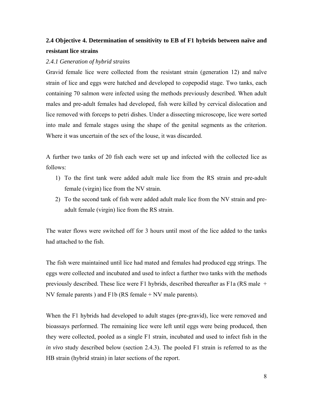# **2.4 Objective 4. Determination of sensitivity to EB of F1 hybrids between naïve and resistant lice strains**

# *2.4.1 Generation of hybrid strains*

Gravid female lice were collected from the resistant strain (generation 12) and naïve strain of lice and eggs were hatched and developed to copepodid stage. Two tanks, each containing 70 salmon were infected using the methods previously described. When adult males and pre-adult females had developed, fish were killed by cervical dislocation and lice removed with forceps to petri dishes. Under a dissecting microscope, lice were sorted into male and female stages using the shape of the genital segments as the criterion. Where it was uncertain of the sex of the louse, it was discarded.

A further two tanks of 20 fish each were set up and infected with the collected lice as follows:

- 1) To the first tank were added adult male lice from the RS strain and pre-adult female (virgin) lice from the NV strain.
- 2) To the second tank of fish were added adult male lice from the NV strain and preadult female (virgin) lice from the RS strain.

The water flows were switched off for 3 hours until most of the lice added to the tanks had attached to the fish.

The fish were maintained until lice had mated and females had produced egg strings. The eggs were collected and incubated and used to infect a further two tanks with the methods previously described. These lice were F1 hybrids, described thereafter as F1a (RS male + NV female parents ) and F1b (RS female + NV male parents).

When the F1 hybrids had developed to adult stages (pre-gravid), lice were removed and bioassays performed. The remaining lice were left until eggs were being produced, then they were collected, pooled as a single F1 strain, incubated and used to infect fish in the *in vivo* study described below (section 2.4.3). The pooled F1 strain is referred to as the HB strain (hybrid strain) in later sections of the report.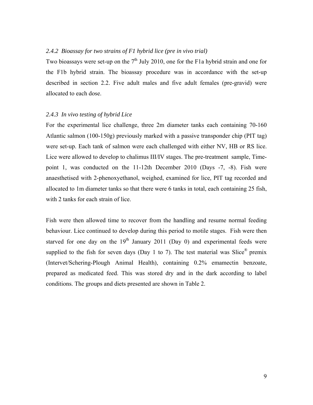## *2.4.2 Bioassay for two strains of F1 hybrid lice (pre in vivo trial)*

Two bioassays were set-up on the  $7<sup>th</sup>$  July 2010, one for the F1a hybrid strain and one for the F1b hybrid strain. The bioassay procedure was in accordance with the set-up described in section 2.2. Five adult males and five adult females (pre-gravid) were allocated to each dose.

### *2.4.3 In vivo testing of hybrid Lice*

For the experimental lice challenge, three 2m diameter tanks each containing 70-160 Atlantic salmon (100-150g) previously marked with a passive transponder chip (PIT tag) were set-up. Each tank of salmon were each challenged with either NV, HB or RS lice. Lice were allowed to develop to chalimus III/IV stages. The pre-treatment sample, Timepoint 1, was conducted on the 11-12th December 2010 (Days -7, -8). Fish were anaesthetised with 2-phenoxyethanol, weighed, examined for lice, PIT tag recorded and allocated to 1m diameter tanks so that there were 6 tanks in total, each containing 25 fish, with 2 tanks for each strain of lice.

Fish were then allowed time to recover from the handling and resume normal feeding behaviour. Lice continued to develop during this period to motile stages. Fish were then starved for one day on the  $19<sup>th</sup>$  January 2011 (Day 0) and experimental feeds were supplied to the fish for seven days (Day 1 to 7). The test material was  $Slice^{\circledast}$  premix (Intervet/Schering-Plough Animal Health), containing 0.2% emamectin benzoate, prepared as medicated feed. This was stored dry and in the dark according to label conditions. The groups and diets presented are shown in Table 2.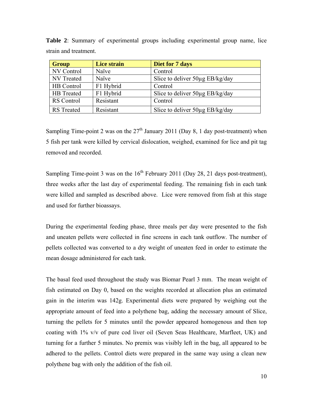| <b>Group</b>      | Lice strain | Diet for 7 days                 |
|-------------------|-------------|---------------------------------|
| NV Control        | Naïve       | Control                         |
| NV Treated        | Naïve       | Slice to deliver 50µg EB/kg/day |
| HB Control        | F1 Hybrid   | Control                         |
| HB Treated        | F1 Hybrid   | Slice to deliver 50µg EB/kg/day |
| RS Control        | Resistant   | Control                         |
| <b>RS</b> Treated | Resistant   | Slice to deliver 50µg EB/kg/day |

**Table 2**: Summary of experimental groups including experimental group name, lice strain and treatment.

Sampling Time-point 2 was on the  $27<sup>th</sup>$  January 2011 (Day 8, 1 day post-treatment) when 5 fish per tank were killed by cervical dislocation, weighed, examined for lice and pit tag removed and recorded.

Sampling Time-point 3 was on the  $16<sup>th</sup>$  February 2011 (Day 28, 21 days post-treatment), three weeks after the last day of experimental feeding. The remaining fish in each tank were killed and sampled as described above. Lice were removed from fish at this stage and used for further bioassays.

During the experimental feeding phase, three meals per day were presented to the fish and uneaten pellets were collected in fine screens in each tank outflow. The number of pellets collected was converted to a dry weight of uneaten feed in order to estimate the mean dosage administered for each tank.

The basal feed used throughout the study was Biomar Pearl 3 mm. The mean weight of fish estimated on Day 0, based on the weights recorded at allocation plus an estimated gain in the interim was 142g. Experimental diets were prepared by weighing out the appropriate amount of feed into a polythene bag, adding the necessary amount of Slice, turning the pellets for 5 minutes until the powder appeared homogenous and then top coating with 1% v/v of pure cod liver oil (Seven Seas Healthcare, Marfleet, UK) and turning for a further 5 minutes. No premix was visibly left in the bag, all appeared to be adhered to the pellets. Control diets were prepared in the same way using a clean new polythene bag with only the addition of the fish oil.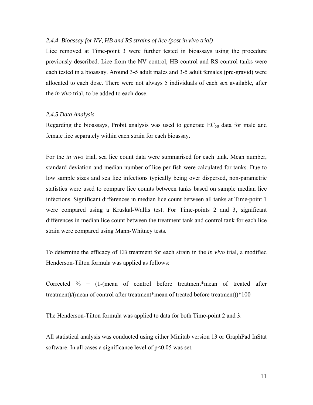## *2.4.4 Bioassay for NV, HB and RS strains of lice (post in vivo trial)*

Lice removed at Time-point 3 were further tested in bioassays using the procedure previously described. Lice from the NV control, HB control and RS control tanks were each tested in a bioassay. Around 3-5 adult males and 3-5 adult females (pre-gravid) were allocated to each dose. There were not always 5 individuals of each sex available, after the *in vivo* trial, to be added to each dose.

#### *2.4.5 Data Analysis*

Regarding the bioassays, Probit analysis was used to generate  $EC_{50}$  data for male and female lice separately within each strain for each bioassay.

For the *in vivo* trial, sea lice count data were summarised for each tank. Mean number, standard deviation and median number of lice per fish were calculated for tanks. Due to low sample sizes and sea lice infections typically being over dispersed, non-parametric statistics were used to compare lice counts between tanks based on sample median lice infections. Significant differences in median lice count between all tanks at Time-point 1 were compared using a Kruskal-Wallis test. For Time-points 2 and 3, significant differences in median lice count between the treatment tank and control tank for each lice strain were compared using Mann-Whitney tests.

To determine the efficacy of EB treatment for each strain in the *in vivo* trial, a modified Henderson-Tilton formula was applied as follows:

Corrected  $\%$  = (1-(mean of control before treatment\*mean of treated after treatment)/(mean of control after treatment\*mean of treated before treatment))\*100

The Henderson-Tilton formula was applied to data for both Time-point 2 and 3.

All statistical analysis was conducted using either Minitab version 13 or GraphPad InStat software. In all cases a significance level of  $p<0.05$  was set.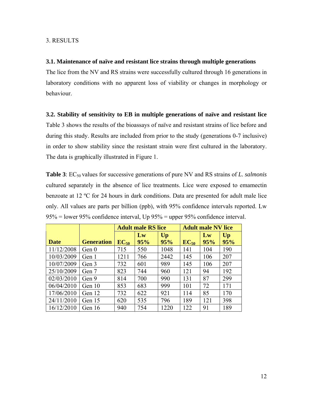### 3. RESULTS

### **3.1. Maintenance of naïve and resistant lice strains through multiple generations**

The lice from the NV and RS strains were successfully cultured through 16 generations in laboratory conditions with no apparent loss of viability or changes in morphology or behaviour.

### **3.2. Stability of sensitivity to EB in multiple generations of naïve and resistant lice**

Table 3 shows the results of the bioassays of naïve and resistant strains of lice before and during this study. Results are included from prior to the study (generations 0-7 inclusive) in order to show stability since the resistant strain were first cultured in the laboratory. The data is graphically illustrated in Figure 1.

**Table 3**: EC<sub>50</sub> values for successive generations of pure NV and RS strains of *L. salmonis* cultured separately in the absence of lice treatments. Lice were exposed to emamectin benzoate at 12 ºC for 24 hours in dark conditions. Data are presented for adult male lice only. All values are parts per billion (ppb), with 95% confidence intervals reported. Lw 95% = lower 95% confidence interval, Up 95% = upper 95% confidence interval.

|             |                   | <b>Adult male RS lice</b> |     |      | <b>Adult male NV lice</b> |     |     |
|-------------|-------------------|---------------------------|-----|------|---------------------------|-----|-----|
|             |                   |                           | Lw  | Up   |                           | Lw  | Up  |
| <b>Date</b> | <b>Generation</b> | $EC_{50}$                 | 95% | 95%  | $EC_{50}$                 | 95% | 95% |
| 11/12/2008  | Gen <sub>0</sub>  | 715                       | 550 | 1048 | 141                       | 104 | 190 |
| 10/03/2009  | Gen 1             | 1211                      | 766 | 2442 | 145                       | 106 | 207 |
| 10/07/2009  | Gen 3             | 732                       | 601 | 989  | 145                       | 106 | 207 |
| 25/10/2009  | Gen 7             | 823                       | 744 | 960  | 121                       | 94  | 192 |
| 02/03/2010  | Gen 9             | 814                       | 700 | 990  | 131                       | 87  | 299 |
| 06/04/2010  | Gen 10            | 853                       | 683 | 999  | 101                       | 72  | 171 |
| 17/06/2010  | Gen 12            | 732                       | 622 | 921  | 114                       | 85  | 170 |
| 24/11/2010  | Gen 15            | 620                       | 535 | 796  | 189                       | 121 | 398 |
| 16/12/2010  | Gen 16            | 940                       | 754 | 1220 | 122                       | 91  | 189 |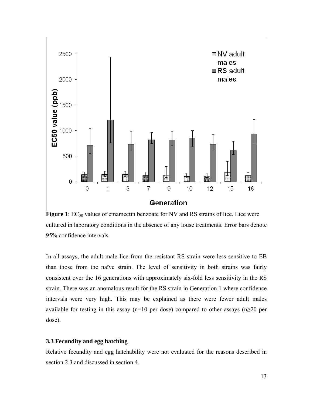

**Figure 1**: EC<sub>50</sub> values of emamectin benzoate for NV and RS strains of lice. Lice were cultured in laboratory conditions in the absence of any louse treatments. Error bars denote 95% confidence intervals.

In all assays, the adult male lice from the resistant RS strain were less sensitive to EB than those from the naïve strain. The level of sensitivity in both strains was fairly consistent over the 16 generations with approximately six-fold less sensitivity in the RS strain. There was an anomalous result for the RS strain in Generation 1 where confidence intervals were very high. This may be explained as there were fewer adult males available for testing in this assay (n=10 per dose) compared to other assays (n $\geq$ 20 per dose).

## **3.3 Fecundity and egg hatching**

Relative fecundity and egg hatchability were not evaluated for the reasons described in section 2.3 and discussed in section 4.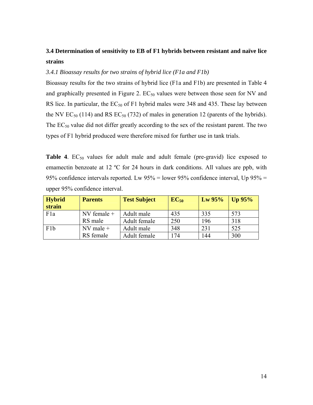# **3.4 Determination of sensitivity to EB of F1 hybrids between resistant and naïve lice strains**

# *3.4.1 Bioassay results for two strains of hybrid lice (F1a and F1b)*

Bioassay results for the two strains of hybrid lice (F1a and F1b) are presented in Table 4 and graphically presented in Figure 2.  $EC_{50}$  values were between those seen for NV and RS lice. In particular, the  $EC_{50}$  of F1 hybrid males were 348 and 435. These lay between the NV  $EC_{50}$  (114) and RS  $EC_{50}$  (732) of males in generation 12 (parents of the hybrids). The  $EC_{50}$  value did not differ greatly according to the sex of the resistant parent. The two types of F1 hybrid produced were therefore mixed for further use in tank trials.

**Table 4.**  $EC_{50}$  values for adult male and adult female (pre-gravid) lice exposed to emamectin benzoate at 12 ºC for 24 hours in dark conditions. All values are ppb, with 95% confidence intervals reported. Lw 95% = lower 95% confidence interval, Up 95% = upper 95% confidence interval.

| <b>Hybrid</b>    | <b>Parents</b> | <b>Test Subject</b> | $EC_{50}$ | $Lw$ 95% | Up $95%$ |
|------------------|----------------|---------------------|-----------|----------|----------|
| strain           |                |                     |           |          |          |
| F <sub>1</sub> a | NV female +    | Adult male          | 435       | 335      | 573      |
|                  | RS male        | Adult female        | 250       | 196      | 318      |
| F1b              | $NV$ male +    | Adult male          | 348       | 231      | 525      |
|                  | RS female      | Adult female        | 174       | 144      | 300      |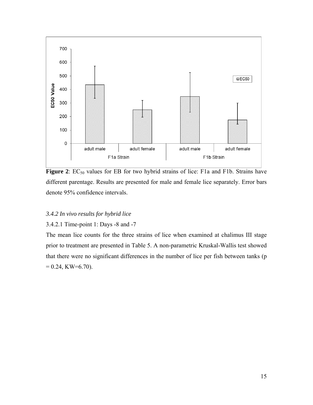

**Figure 2**: EC<sub>50</sub> values for EB for two hybrid strains of lice: F1a and F1b. Strains have different parentage. Results are presented for male and female lice separately. Error bars denote 95% confidence intervals.

# *3.4.2 In vivo results for hybrid lice*

### 3.4.2.1 Time-point 1: Days -8 and -7

The mean lice counts for the three strains of lice when examined at chalimus III stage prior to treatment are presented in Table 5. A non-parametric Kruskal-Wallis test showed that there were no significant differences in the number of lice per fish between tanks (p  $= 0.24$ , KW=6.70).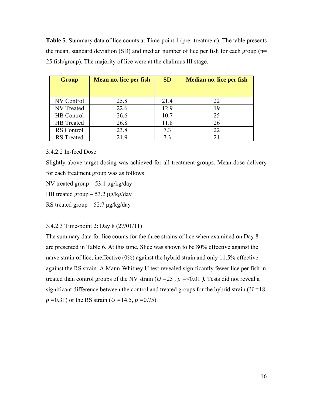**Table 5**. Summary data of lice counts at Time-point 1 (pre- treatment). The table presents the mean, standard deviation (SD) and median number of lice per fish for each group (n= 25 fish/group). The majority of lice were at the chalimus III stage.

| <b>Group</b>      | Mean no. lice per fish | <b>SD</b> | <b>Median no. lice per fish</b> |
|-------------------|------------------------|-----------|---------------------------------|
| NV Control        | 25.8                   | 21.4      | 22                              |
| NV Treated        | 22.6                   | 12.9      | 19                              |
| HB Control        | 26.6                   | 10.7      | 25                              |
| HB Treated        | 26.8                   | 11.8      | 26                              |
| RS Control        | 23.8                   | 7.3       | 22                              |
| <b>RS</b> Treated | 21.9                   | 73        | 21                              |

3.4.2.2 In-feed Dose

Slightly above target dosing was achieved for all treatment groups. Mean dose delivery for each treatment group was as follows:

NV treated group  $-53.1 \mu g/kg/day$ 

HB treated group  $-53.2 \mu g/kg/day$ 

RS treated group  $-52.7 \mu g/kg/day$ 

3.4.2.3 Time-point 2: Day 8 (27/01/11)

The summary data for lice counts for the three strains of lice when examined on Day 8 are presented in Table 6. At this time, Slice was shown to be 80% effective against the naïve strain of lice, ineffective (0%) against the hybrid strain and only 11.5% effective against the RS strain. A Mann-Whitney U test revealed significantly fewer lice per fish in treated than control groups of the NV strain ( $U = 25$ ,  $p = 0.01$ ). Tests did not reveal a significant difference between the control and treated groups for the hybrid strain ( $U = 18$ , *p =*0.31) or the RS strain (*U =*14.5*, p =*0.75).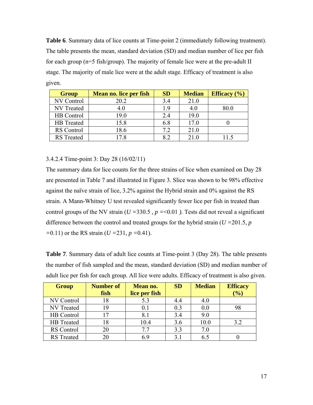**Table 6**. Summary data of lice counts at Time-point 2 (immediately following treatment). The table presents the mean, standard deviation (SD) and median number of lice per fish for each group (n=5 fish/group). The majority of female lice were at the pre-adult II stage. The majority of male lice were at the adult stage. Efficacy of treatment is also given.

| <b>Group</b>      | Mean no. lice per fish | <b>SD</b> | <b>Median</b> | Efficacy $(\% )$ |
|-------------------|------------------------|-----------|---------------|------------------|
| <b>NV Control</b> | 20.2                   | 3.4       | 21.0          |                  |
| <b>NV</b> Treated | 4.0                    | 1.9       | 4.0           | 80.0             |
| HB Control        | 19.0                   | 2.4       | 19.0          |                  |
| <b>HB</b> Treated | 15.8                   | 6.8       | 17.0          |                  |
| RS Control        | 18.6                   | 7.2       | 21.0          |                  |
| <b>RS</b> Treated | 17.8                   | 8.2       | 21.0          | 11.5             |

## 3.4.2.4 Time-point 3: Day 28 (16/02/11)

The summary data for lice counts for the three strains of lice when examined on Day 28 are presented in Table 7 and illustrated in Figure 3. Slice was shown to be 98% effective against the naïve strain of lice, 3.2% against the Hybrid strain and 0% against the RS strain. A Mann-Whitney U test revealed significantly fewer lice per fish in treated than control groups of the NV strain ( $U = 330.5$ ,  $p = 0.01$ ). Tests did not reveal a significant difference between the control and treated groups for the hybrid strain (*U =*201.5*, p =*0.11) or the RS strain (*U =*231*, p =*0.41).

| <b>Table 7.</b> Summary data of adult lice counts at Time-point 3 (Day 28). The table presents |
|------------------------------------------------------------------------------------------------|
| the number of fish sampled and the mean, standard deviation (SD) and median number of          |
| adult lice per fish for each group. All lice were adults. Efficacy of treatment is also given. |

| <b>Group</b>      | <b>Number of</b> | Mean no.      | <b>SD</b> | <b>Median</b> | <b>Efficacy</b> |
|-------------------|------------------|---------------|-----------|---------------|-----------------|
|                   | fish             | lice per fish |           |               | (%)             |
| NV Control        | 18               | 5.3           |           | 4.0           |                 |
| NV Treated        | 19               | 0.1           | 0.3       | 0.0           | 98              |
| HB Control        | 17               | 8.1           | 3.4       | 9.0           |                 |
| HB Treated        | 18               | 10.4          | 3.6       | 10.0          | 3.2             |
| <b>RS</b> Control | 20               | 7.7           | 3.3       | 7.0           |                 |
| <b>RS</b> Treated | 20               | 6.9           | 31        | 6.5           |                 |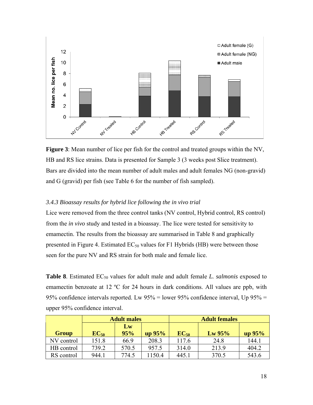

**Figure 3**: Mean number of lice per fish for the control and treated groups within the NV, HB and RS lice strains. Data is presented for Sample 3 (3 weeks post Slice treatment). Bars are divided into the mean number of adult males and adult females NG (non-gravid) and G (gravid) per fish (see Table 6 for the number of fish sampled).

# *3.4.3 Bioassay results for hybrid lice following the in vivo trial*

Lice were removed from the three control tanks (NV control, Hybrid control, RS control) from the *in vivo* study and tested in a bioassay. The lice were tested for sensitivity to emamectin. The results from the bioassay are summarised in Table 8 and graphically presented in Figure 4. Estimated  $EC_{50}$  values for F1 Hybrids (HB) were between those seen for the pure NV and RS strain for both male and female lice.

**Table 8**. Estimated EC<sub>50</sub> values for adult male and adult female *L. salmonis* exposed to emamectin benzoate at 12 ºC for 24 hours in dark conditions. All values are ppb, with 95% confidence intervals reported. Lw  $95\%$  = lower 95% confidence interval, Up  $95\%$  = upper 95% confidence interval.

|            | <b>Adult males</b> |           |        | <b>Adult females</b> |        |       |  |
|------------|--------------------|-----------|--------|----------------------|--------|-------|--|
| Group      | $EC_{50}$          | Lw<br>95% | up 95% | $EC_{50}$            | up 95% |       |  |
| NV control | 151.8              | 66.9      | 208.3  | 117.6                | 24.8   | 144.1 |  |
| HB control | 739.2              | 570.5     | 957.5  | 314.0                | 213.9  | 404.2 |  |
| RS control | 944.1              | 774.5     | 150.4  | 445.1                | 370.5  | 543.6 |  |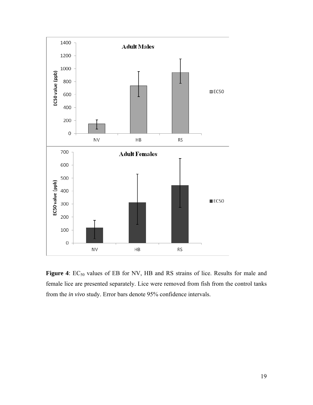

Figure 4: EC<sub>50</sub> values of EB for NV, HB and RS strains of lice. Results for male and female lice are presented separately. Lice were removed from fish from the control tanks from the *in vivo* study. Error bars denote 95% confidence intervals.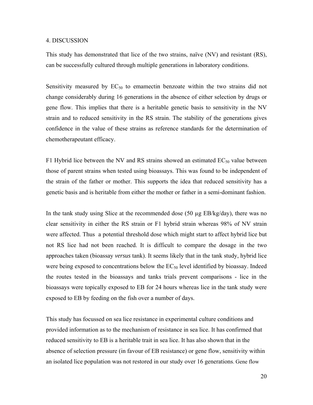### 4. DISCUSSION

This study has demonstrated that lice of the two strains, naïve (NV) and resistant (RS), can be successfully cultured through multiple generations in laboratory conditions.

Sensitivity measured by  $EC_{50}$  to emamectin benzoate within the two strains did not change considerably during 16 generations in the absence of either selection by drugs or gene flow. This implies that there is a heritable genetic basis to sensitivity in the NV strain and to reduced sensitivity in the RS strain. The stability of the generations gives confidence in the value of these strains as reference standards for the determination of chemotherapeutant efficacy.

F1 Hybrid lice between the NV and RS strains showed an estimated  $EC_{50}$  value between those of parent strains when tested using bioassays. This was found to be independent of the strain of the father or mother. This supports the idea that reduced sensitivity has a genetic basis and is heritable from either the mother or father in a semi-dominant fashion.

In the tank study using Slice at the recommended dose (50 µg EB/kg/day), there was no clear sensitivity in either the RS strain or F1 hybrid strain whereas 98% of NV strain were affected. Thus a potential threshold dose which might start to affect hybrid lice but not RS lice had not been reached. It is difficult to compare the dosage in the two approaches taken (bioassay *versus* tank). It seems likely that in the tank study, hybrid lice were being exposed to concentrations below the  $EC_{50}$  level identified by bioassay. Indeed the routes tested in the bioassays and tanks trials prevent comparisons - lice in the bioassays were topically exposed to EB for 24 hours whereas lice in the tank study were exposed to EB by feeding on the fish over a number of days.

This study has focussed on sea lice resistance in experimental culture conditions and provided information as to the mechanism of resistance in sea lice. It has confirmed that reduced sensitivity to EB is a heritable trait in sea lice. It has also shown that in the absence of selection pressure (in favour of EB resistance) or gene flow, sensitivity within an isolated lice population was not restored in our study over 16 generations. Gene flow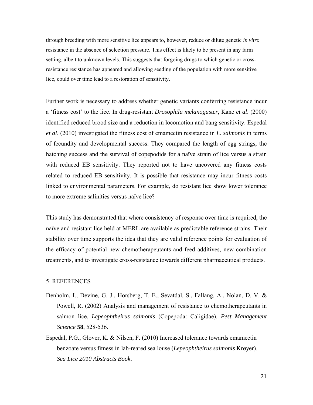through breeding with more sensitive lice appears to, however, reduce or dilute genetic *in vitro* resistance in the absence of selection pressure. This effect is likely to be present in any farm setting, albeit to unknown levels. This suggests that forgoing drugs to which genetic or crossresistance resistance has appeared and allowing seeding of the population with more sensitive lice, could over time lead to a restoration of sensitivity.

Further work is necessary to address whether genetic variants conferring resistance incur a 'fitness cost' to the lice. In drug-resistant *Drosophila melanogaster*, Kane *et al*. (2000) identified reduced brood size and a reduction in locomotion and bang sensitivity. Espedal *et al*. (2010) investigated the fitness cost of emamectin resistance in *L. salmonis* in terms of fecundity and developmental success. They compared the length of egg strings, the hatching success and the survival of copepodids for a naïve strain of lice versus a strain with reduced EB sensitivity. They reported not to have uncovered any fitness costs related to reduced EB sensitivity. It is possible that resistance may incur fitness costs linked to environmental parameters. For example, do resistant lice show lower tolerance to more extreme salinities versus naïve lice?

This study has demonstrated that where consistency of response over time is required, the naïve and resistant lice held at MERL are available as predictable reference strains. Their stability over time supports the idea that they are valid reference points for evaluation of the efficacy of potential new chemotherapeutants and feed additives, new combination treatments, and to investigate cross-resistance towards different pharmaceutical products.

### 5. REFERENCES

- Denholm, I., Devine, G. J., Horsberg, T. E., Sevatdal, S., Fallang, A., Nolan, D. V. & Powell, R. (2002) Analysis and management of resistance to chemotherapeutants in salmon lice, *Lepeophtheirus salmonis* (Copepoda: Caligidae). *Pest Management Science* **58**, 528-536.
- Espedal, P.G., Glover, K. & Nilsen, F. (2010) Increased tolerance towards emamectin benzoate versus fitness in lab-reared sea louse (*Lepeophtheirus salmonis* Krøyer). *Sea Lice 2010 Abstracts Book*.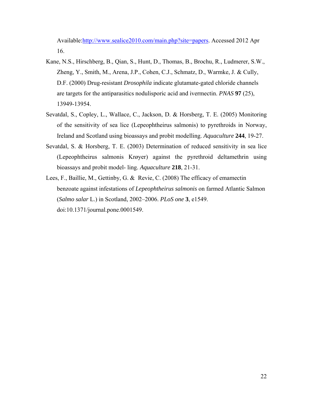Available:http://www.sealice2010.com/main.php?site=papers. Accessed 2012 Apr 16.

- Kane, N.S., Hirschberg, B., Qian, S., Hunt, D., Thomas, B., Brochu, R., Ludmerer, S.W., Zheng, Y., Smith, M., Arena, J.P., Cohen, C.J., Schmatz, D., Warmke, J. & Cully, D.F. (2000) Drug-resistant *Drosophila* indicate glutamate-gated chloride channels are targets for the antiparasitics nodulisporic acid and ivermectin. *PNAS* **97** (25), 13949-13954.
- Sevatdal, S., Copley, L., Wallace, C., Jackson, D. & Horsberg, T. E. (2005) Monitoring of the sensitivity of sea lice (Lepeophtheirus salmonis) to pyrethroids in Norway, Ireland and Scotland using bioassays and probit modelling. *Aquaculture* **244**, 19-27.
- Sevatdal, S. & Horsberg, T. E. (2003) Determination of reduced sensitivity in sea lice (Lepeophtheirus salmonis Krøyer) against the pyrethroid deltamethrin using bioassays and probit model- ling. *Aquaculture* **218**, 21-31.
- Lees, F., Baillie, M., Gettinby, G. & Revie, C. (2008) The efficacy of emamectin benzoate against infestations of *Lepeophtheirus salmonis* on farmed Atlantic Salmon (*Salmo salar* L.) in Scotland, 2002–2006. *PLoS one* **3**, e1549. doi:10.1371/journal.pone.0001549.